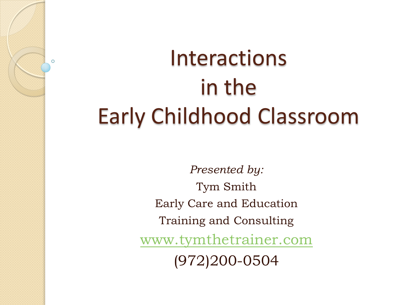# Interactions in the Early Childhood Classroom

 $\circ$ 

*Presented by:* Tym Smith Early Care and Education Training and Consulting [www.tymthetrainer.com](http://www.tymthetrainer.com/) (972)200-0504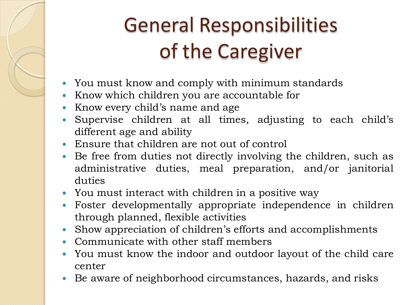## General Responsibilities of the Caregiver

- You must know and comply with minimum standards
- Know which children you are accountable for
- Know every child's name and age
- Supervise children at all times, adjusting to each child's different age and ability
- Ensure that children are not out of control
- Be free from duties not directly involving the children, such as administrative duties, meal preparation, and/or janitorial duties
- You must interact with children in a positive way
- Foster developmentally appropriate independence in children through planned, flexible activities
- Show appreciation of children's efforts and accomplishments
- Communicate with other staff members
- You must know the indoor and outdoor layout of the child care center
- Be aware of neighborhood circumstances, hazards, and risks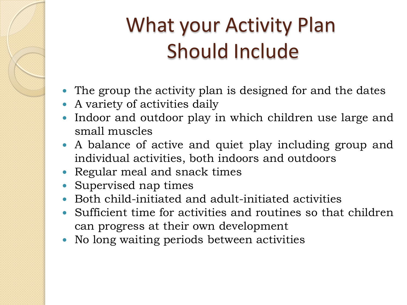#### What your Activity Plan Should Include

- The group the activity plan is designed for and the dates
- A variety of activities daily
- Indoor and outdoor play in which children use large and small muscles
- A balance of active and quiet play including group and individual activities, both indoors and outdoors
- Regular meal and snack times
- Supervised nap times
- Both child-initiated and adult-initiated activities
- Sufficient time for activities and routines so that children can progress at their own development
- No long waiting periods between activities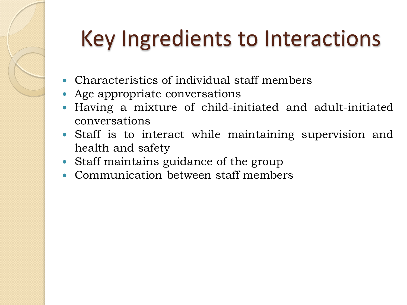# Key Ingredients to Interactions

- Characteristics of individual staff members
- Age appropriate conversations
- Having a mixture of child-initiated and adult-initiated conversations
- Staff is to interact while maintaining supervision and health and safety
- Staff maintains guidance of the group
- Communication between staff members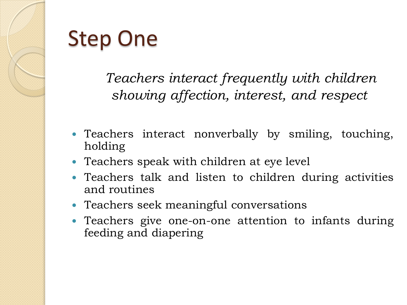## Step One

*Teachers interact frequently with children showing affection, interest, and respect*

- Teachers interact nonverbally by smiling, touching, holding
- Teachers speak with children at eye level
- Teachers talk and listen to children during activities and routines
- Teachers seek meaningful conversations
- Teachers give one-on-one attention to infants during feeding and diapering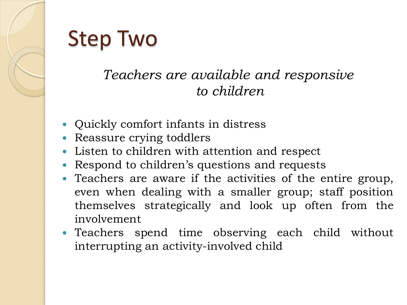# Step Two

#### *Teachers are available and responsive to children*

- Quickly comfort infants in distress
- Reassure crying toddlers
- Listen to children with attention and respect
- Respond to children's questions and requests
- Teachers are aware if the activities of the entire group, even when dealing with a smaller group; staff position themselves strategically and look up often from the involvement
- Teachers spend time observing each child without interrupting an activity-involved child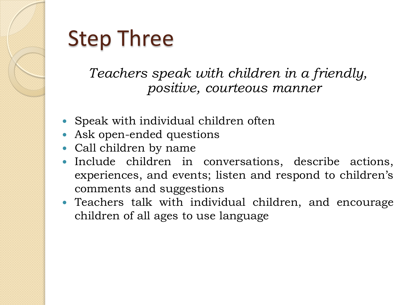## Step Three

*Teachers speak with children in a friendly, positive, courteous manner*

- Speak with individual children often
- Ask open-ended questions
- Call children by name
- Include children in conversations, describe actions, experiences, and events; listen and respond to children's comments and suggestions
- Teachers talk with individual children, and encourage children of all ages to use language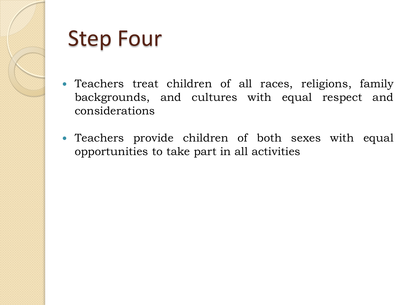

#### Step Four

- Teachers treat children of all races, religions, family backgrounds, and cultures with equal respect and considerations
- Teachers provide children of both sexes with equal opportunities to take part in all activities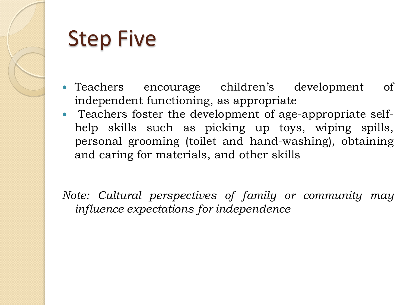

#### Step Five

- Teachers encourage children's development of independent functioning, as appropriate
- Teachers foster the development of age-appropriate selfhelp skills such as picking up toys, wiping spills, personal grooming (toilet and hand-washing), obtaining and caring for materials, and other skills

*Note: Cultural perspectives of family or community may influence expectations for independence*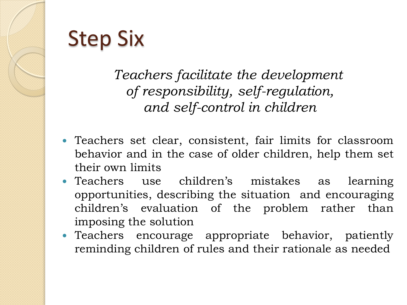# Step Six

*Teachers facilitate the development of responsibility, self-regulation, and self-control in children*

- Teachers set clear, consistent, fair limits for classroom behavior and in the case of older children, help them set their own limits
- Teachers use children's mistakes as learning opportunities, describing the situation and encouraging children's evaluation of the problem rather than imposing the solution
- Teachers encourage appropriate behavior, patiently reminding children of rules and their rationale as needed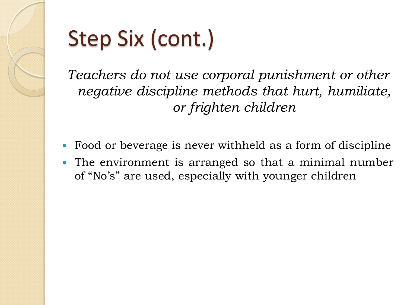

# Step Six (cont.)

*Teachers do not use corporal punishment or other negative discipline methods that hurt, humiliate, or frighten children*

- Food or beverage is never withheld as a form of discipline
- The environment is arranged so that a minimal number of "No's" are used, especially with younger children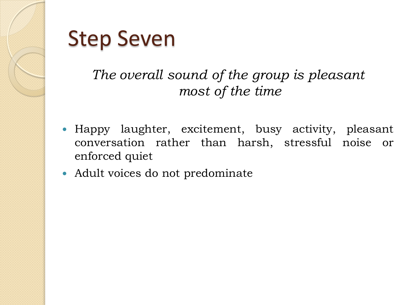

#### Step Seven

#### *The overall sound of the group is pleasant most of the time*

- Happy laughter, excitement, busy activity, pleasant conversation rather than harsh, stressful noise or enforced quiet
- Adult voices do not predominate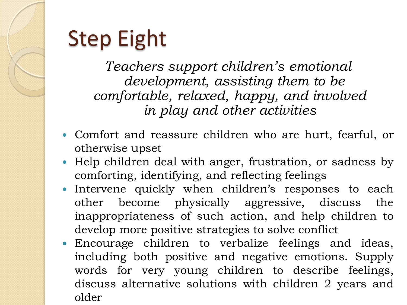# Step Eight

*Teachers support children's emotional development, assisting them to be comfortable, relaxed, happy, and involved in play and other activities*

- Comfort and reassure children who are hurt, fearful, or otherwise upset
- Help children deal with anger, frustration, or sadness by comforting, identifying, and reflecting feelings
- Intervene quickly when children's responses to each other become physically aggressive, discuss the inappropriateness of such action, and help children to develop more positive strategies to solve conflict
- Encourage children to verbalize feelings and ideas, including both positive and negative emotions. Supply words for very young children to describe feelings, discuss alternative solutions with children 2 years and older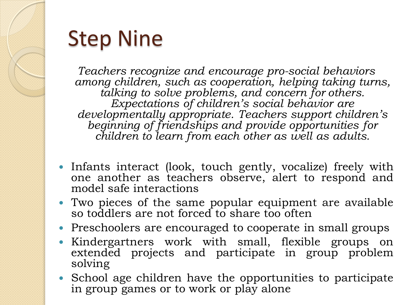

## Step Nine

*Teachers recognize and encourage pro-social behaviors among children, such as cooperation, helping taking turns, talking to solve problems, and concern for others. Expectations of children's social behavior are developmentally appropriate. Teachers support children's beginning of friendships and provide opportunities for children to learn from each other as well as adults.*

- Infants interact (look, touch gently, vocalize) freely with one another as teachers observe, alert to respond and model safe interactions
- Two pieces of the same popular equipment are available so toddlers are not forced to share too often
- Preschoolers are encouraged to cooperate in small groups
- Kindergartners work with small, flexible groups on extended projects and participate in group problem solving
- School age children have the opportunities to participate in group games or to work or play alone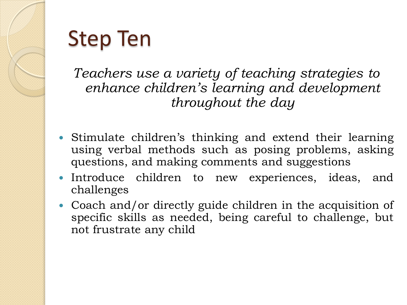

## Step Ten

*Teachers use a variety of teaching strategies to enhance children's learning and development throughout the day*

- Stimulate children's thinking and extend their learning using verbal methods such as posing problems, asking questions, and making comments and suggestions
- Introduce children to new experiences, ideas, and challenges
- Coach and/or directly guide children in the acquisition of specific skills as needed, being careful to challenge, but not frustrate any child